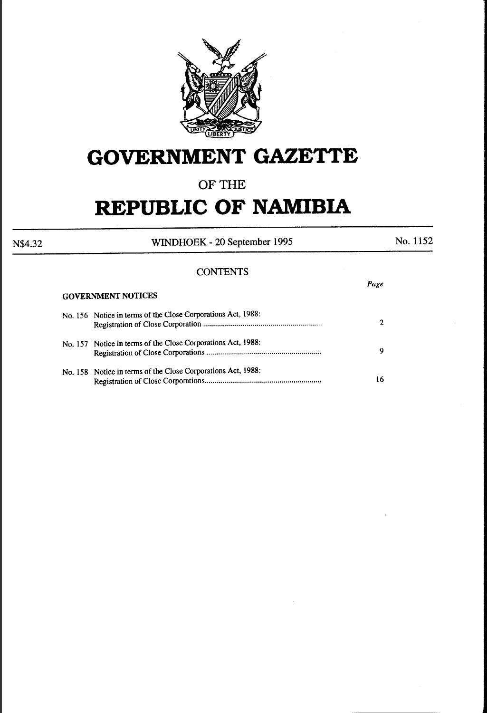

# **GOVERNMENT GAZETTE**

### **OF THE**

# **REPUBLIC OF NAMIBIA**

N\$4.32 WINDHOEK - 20 September 1995 No. 1152

*Page* 

### **CONTENTS**

GOVERNMENT NOTICES

| <b>GUYERNINEN I NOTICES</b>                                  |    |  |  |  |
|--------------------------------------------------------------|----|--|--|--|
| No. 156 Notice in terms of the Close Corporations Act, 1988: | 2  |  |  |  |
| No. 157 Notice in terms of the Close Corporations Act, 1988: | 9  |  |  |  |
| No. 158 Notice in terms of the Close Corporations Act, 1988: | 16 |  |  |  |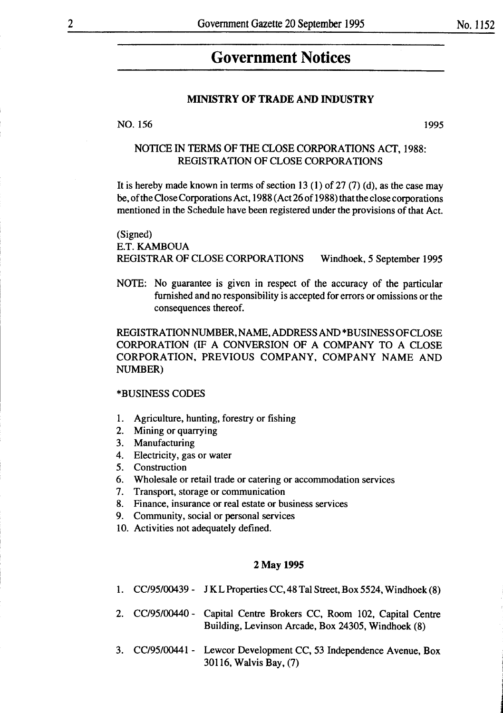**linguished and component and con-**

## **Government Notices**

#### MINISTRY OF TRADE AND INDUSTRY

NO. 156 1995

### NOTICE IN TERMS OF THE CLOSE CORPORATIONS ACT, 1988: REGISTRATION OF CLOSE CORPORATIONS

It is hereby made known in terms of section 13 (1) of 27 (7) (d), as the case may be, of the Close Corporations Act, 1988 (Act 26 of 1988) that the close corporations mentioned in the Schedule have been registered under the provisions of that Act.

(Signed) E.T. KAMBOUA REGISTRAR OF CLOSE CORPORATIONS Windhoek, *5* September 1995

NOTE: No guarantee is given in respect of the accuracy of the particular furnished and no responsibility is accepted for errors or omissions or the consequences thereof.

REGISTRATION NUMBER, NAME, ADDRESS AND \*BUSINESS OF CLOSE CORPORATION (IF A CONVERSION OF A COMPANY TO A CLOSE CORPORATION, PREVIOUS COMPANY, COMPANY NAME AND NUMBER)

#### \*BUSINESS CODES

- 1. Agriculture, hunting, forestry or fishing
- 2. Mining or quarrying
- 3. Manufacturing
- 4. Electricity, gas or water
- 5. Construction
- 6. Wholesale or retail trade or catering or accommodation services
- 7. Transport, storage or communication
- 8. Finance, insurance or real estate or business services
- 9. Community, social or personal services
- 10. Activities not adequately defined.

#### 2May 1995

- 1. CC/95/00439 J K L Properties CC, 48 Tal Street, Box 5524, Windhoek (8)
- 2. CC/95/00440 Capital Centre Brokers CC, Room 102, Capital Centre Building, Levinson Arcade, Box 24305, Windhoek (8)
- 3. CC/95/00441- Lewcor Development CC, 53 Independence Avenue, Box 30116, Walvis Bay, (7)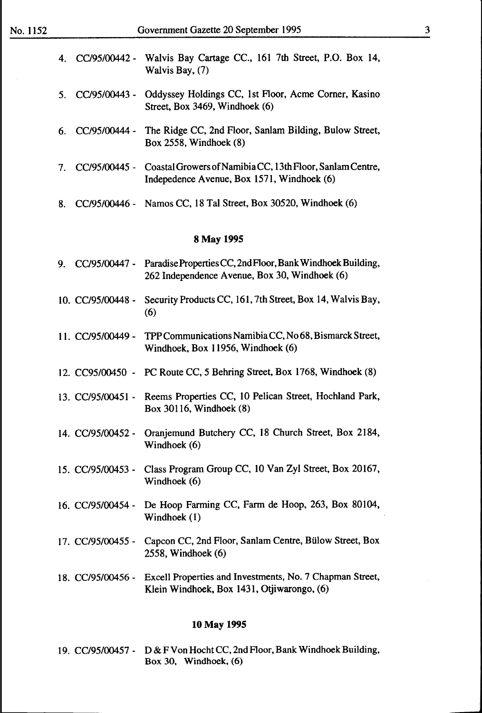| 4. CC/95/00442 - Walvis Bay Cartage CC., 161 7th Street, P.O. Box 14, |                   |  |  |  |  |
|-----------------------------------------------------------------------|-------------------|--|--|--|--|
|                                                                       | Walvis Bay, $(7)$ |  |  |  |  |

- 5. CC/95/00443 Oddyssey Holdings CC, 1st Floor, Acme Comer, Kasino Street, Box 3469, Windhoek (6)
- 6. CC/95/00444 The Ridge CC, 2nd Floor, Sanlam Bilding, Bulow Street, Box 2558, Windhoek (8)
- 7. CC/95/00445 Coastal Growers of Namibia CC, 13th Floor, Sanlam Centre, Indepedence Avenue, Box 1571, Windhoek (6)
- 8. CC/95/00446 Namos CC, 18 Tal Street, Box 30520, Windhoek (6)

#### 8May 1995

- 9. CC/95/00447 Paradise Properties CC, 2nd Floor, Bank Windhoek Building, 262 Independence Avenue, Box 30, Windhoek (6)
- 10. CC/95/00448 Security Products CC, 161, 7th Street, Box 14, Walvis Bay, (6)
- 11. CC/95/00449 TPP Communications Namibia CC, No 68, Bismarck Street, Windhoek, Box 11956, Windhoek (6)
- 12. CC95/00450 PC Route CC, 5 Behring Street, Box 1768, Windhoek (8)
- 13. CC/95/00451 Reems Properties CC, 10 Pelican Street, Hochland Park, Box 30116, Windhoek (8)
- 14. CC/95/00452- Oranjemund Butchery CC, 18 Church Street, Box 2184, Windhoek (6)
- 15. CC/95/00453 Class Program Group CC, 10 Van Zyl Street, Box 20167, Windhoek (6)
- 16. CC/95/00454 De Hoop Farming CC, Farm de Hoop, 263, Box 80104, Windhoek (1)
- 17. CC/95/00455 Capcon CC, 2nd Floor, Sanlam Centre, Bülow Street, Box 2558, Windhoek (6)
- 18. CC/95/00456 Excell Properties and Investments, No. 7 Chapman Street, Klein Windhoek, Box 1431, Otjiwarongo, (6)

#### 10May 1995

19. CC/95/00457- D & F Von Hocht CC, 2nd Floor, Bank Windhoek Building, Box 30, Windhoek, (6)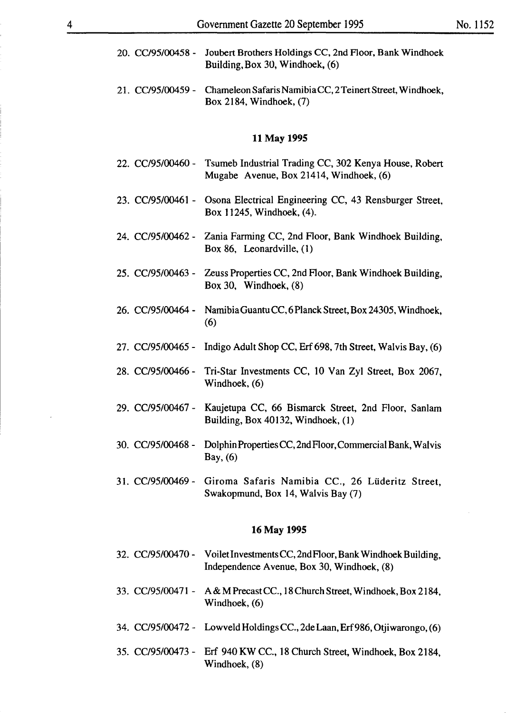- 20. CC/95/00458 Joubert Brothers Holdings CC, 2nd Floor, Bank Windhoek Building,Box 30, Windhoek, (6)
- 21. CC/95/00459 Chameleon Safaris Namibia CC, 2 Teinert Street, Windhoek, Box 2184, Windhoek, (7)

#### 11 May 1995

- 22. CC/95/00460 Tsumeb Industrial Trading CC, 302 Kenya House, Robert Mugabe Avenue, Box 21414, Windhoek, (6)
- 23. CC/95/00461 Osona Electrical Engineering CC, 43 Rensburger Street, Box 11245, Windhoek, (4).
- 24. CC/95/00462 Zania Farming CC, 2nd Floor, Bank Windhoek Building, Box 86, Leonardville, (1)
- 25. CC/95/00463 Zeuss Properties CC, 2nd Floor, Bank Windhoek Building, Box 30, Windhoek, (8)
- 26. CC/95/00464 Namibia Guantu CC, 6 Planck Street, Box 24305, Windhoek, (6)
- 27.  $CC/95/00465$  Indigo Adult Shop CC, Erf 698, 7th Street, Walvis Bay,  $(6)$
- 28. CC/95/00466- Tri-Star Investments CC, 10 Van Zyl Street, Box 2067, Windhoek, (6)
- 29. CC/95/00467- Kaujetupa CC, 66 Bismarck Street, 2nd Floor, Sanlam Building, Box 40132, Windhoek, (1)
- 30. CC/95/00468- DolphinPropertiesCC,2ndFloor,CommercialBank, Walvis Bay, (6)
- 31. CC/95/00469 Giroma Safaris Namibia CC., 26 Lüderitz Street, Swakopmund, Box 14, Walvis Bay (7)

#### 16 May 1995

- 32. CC/95/00470 Voilet Investments CC, 2nd Floor, Bank Windhoek Building, Independence A venue, Box 30, Windhoek, (8)
- 33. CC/95/00471 A & M Precast CC., 18 Church Street, Windhoek, Box 2184, Windhoek, (6)
- 34. CC/95/00472 Lowveld Holdings CC., 2de Laan, Erf 986, Otjiwarongo, (6)
- 35. CC/95/00473- Erf 940 KW CC., 18 Church Street, Windhoek, Box 2184, Windhoek, (8)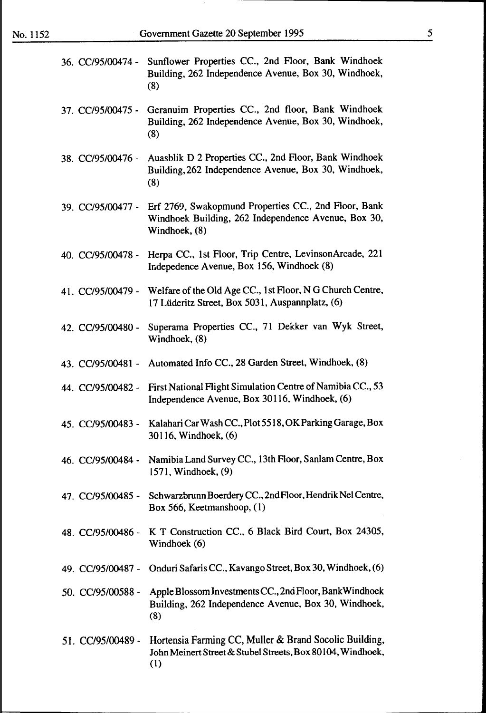|                   | 36. CC/95/00474 - Sunflower Properties CC., 2nd Floor, Bank Windhoek<br>Building, 262 Independence Avenue, Box 30, Windhoek,<br>(8) |
|-------------------|-------------------------------------------------------------------------------------------------------------------------------------|
|                   | 37. CC/95/00475 - Geranuim Properties CC., 2nd floor, Bank Windhoek<br>Building, 262 Independence Avenue, Box 30, Windhoek,<br>(8)  |
| 38. CC/95/00476 - | Auasblik D 2 Properties CC., 2nd Floor, Bank Windhoek<br>Building, 262 Independence Avenue, Box 30, Windhoek,<br>(8)                |
| 39. CC/95/00477 - | Erf 2769, Swakopmund Properties CC., 2nd Floor, Bank<br>Windhoek Building, 262 Independence Avenue, Box 30,<br>Windhoek, (8)        |
| 40. CC/95/00478 - | Herpa CC., 1st Floor, Trip Centre, LevinsonArcade, 221<br>Indepedence Avenue, Box 156, Windhoek (8)                                 |
| 41. CC/95/00479 - | Welfare of the Old Age CC., 1st Floor, N G Church Centre,<br>17 Lüderitz Street, Box 5031, Auspannplatz, (6)                        |
| 42. CC/95/00480 - | Superama Properties CC., 71 Dekker van Wyk Street,<br>Windhoek, (8)                                                                 |
| 43. CC/95/00481 - | Automated Info CC., 28 Garden Street, Windhoek, (8)                                                                                 |
| 44. CC/95/00482 - | First National Flight Simulation Centre of Namibia CC., 53<br>Independence Avenue, Box 30116, Windhoek, (6)                         |
| 45. CC/95/00483 - | Kalahari Car Wash CC., Plot 5518, OK Parking Garage, Box<br>30116, Windhoek, (6)                                                    |
|                   | 46. CC/95/00484 - Namibia Land Survey CC., 13th Floor, Sanlam Centre, Box<br>1571, Windhoek, (9)                                    |
| 47. CC/95/00485 - | Schwarzbrunn Boerdery CC., 2nd Floor, Hendrik Nel Centre,<br>Box 566, Keetmanshoop, (1)                                             |
| 48. CC/95/00486 - | K T Construction CC., 6 Black Bird Court, Box 24305,<br>Windhoek (6)                                                                |
| 49. CC/95/00487 - | Onduri Safaris CC., Kavango Street, Box 30, Windhoek, (6)                                                                           |
| 50. CC/95/00588 - | Apple Blossom Investments CC., 2nd Floor, Bank Windhoek<br>Building, 262 Independence Avenue, Box 30, Windhoek,<br>(8)              |
| 51. CC/95/00489 - | Hortensia Farming CC, Muller & Brand Socolic Building,<br>John Meinert Street & Stubel Streets, Box 80104, Windhoek,<br>(1)         |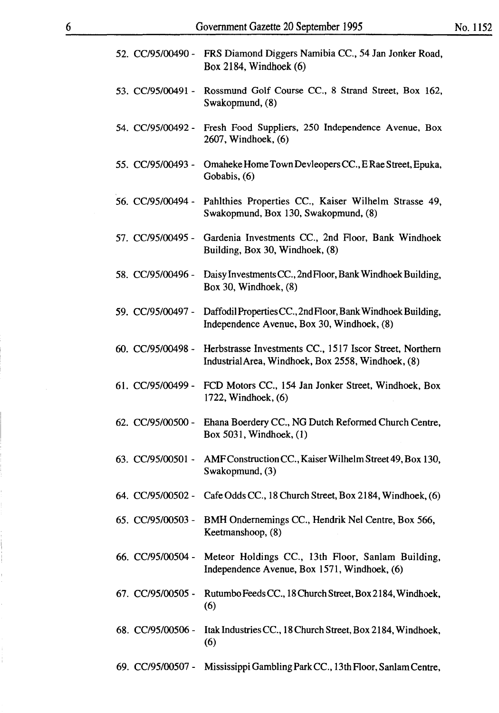|                   | 52. CC/95/00490 - FRS Diamond Diggers Namibia CC., 54 Jan Jonker Road,<br>Box 2184, Windhoek $(6)$                               |
|-------------------|----------------------------------------------------------------------------------------------------------------------------------|
| 53. CC/95/00491 - | Rossmund Golf Course CC., 8 Strand Street, Box 162,<br>Swakopmund, (8)                                                           |
|                   | 54. CC/95/00492 - Fresh Food Suppliers, 250 Independence Avenue, Box<br>2607, Windhoek, (6)                                      |
| 55. CC/95/00493 - | Omaheke Home Town Devleopers CC., E Rae Street, Epuka,<br>Gobabis, (6)                                                           |
|                   | 56. CC/95/00494 - Pahlthies Properties CC., Kaiser Wilhelm Strasse 49,<br>Swakopmund, Box 130, Swakopmund, (8)                   |
| 57. CC/95/00495 - | Gardenia Investments CC., 2nd Floor, Bank Windhoek<br>Building, Box 30, Windhoek, (8)                                            |
| 58. CC/95/00496 - | Daisy Investments CC., 2nd Floor, Bank Windhoek Building,<br>Box 30, Windhoek, (8)                                               |
| 59. CC/95/00497 - | Daffodil Properties CC., 2nd Floor, Bank Windhoek Building,<br>Independence Avenue, Box 30, Windhoek, (8)                        |
|                   | 60. CC/95/00498 - Herbstrasse Investments CC., 1517 Iscor Street, Northern<br>Industrial Area, Windhoek, Box 2558, Windhoek, (8) |
| 61. CC/95/00499 - | FCD Motors CC., 154 Jan Jonker Street, Windhoek, Box<br>$1722$ , Windhoek, $(6)$                                                 |
| 62. CC/95/00500 - | Ehana Boerdery CC., NG Dutch Reformed Church Centre,<br>Box 5031, Windhoek, (1)                                                  |
|                   | 63. CC/95/00501 - AMF Construction CC., Kaiser Wilhelm Street 49, Box 130,<br>Swakopmund, (3)                                    |
| 64. CC/95/00502 - | Cafe Odds CC., 18 Church Street, Box 2184, Windhoek, (6)                                                                         |
| 65. CC/95/00503 - | BMH Ondernemings CC., Hendrik Nel Centre, Box 566,<br>Keetmanshoop, (8)                                                          |
| 66. CC/95/00504 - | Meteor Holdings CC., 13th Floor, Sanlam Building,<br>Independence Avenue, Box 1571, Windhoek, (6)                                |
| 67. CC/95/00505 - | Rutumbo Feeds CC., 18 Church Street, Box 2184, Windhoek,<br>(6)                                                                  |
| 68. CC/95/00506 - | Itak Industries CC., 18 Church Street, Box 2184, Windhoek,<br>(6)                                                                |
| 69. CC/95/00507 - | Mississippi Gambling Park CC., 13th Floor, Sanlam Centre,                                                                        |

Ì.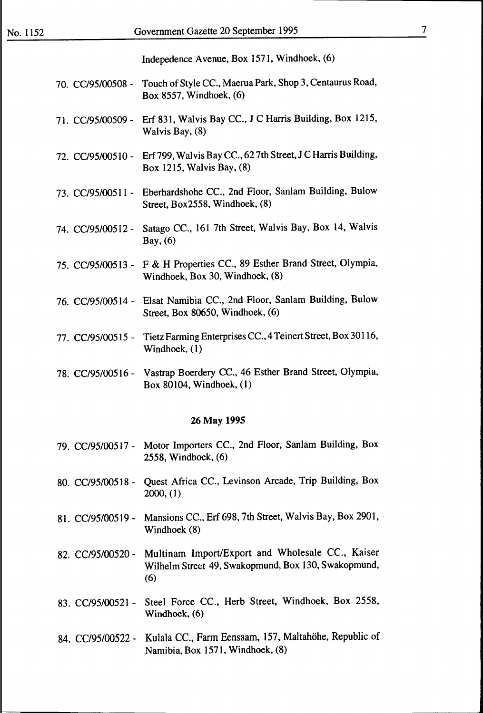lndepedence Avenue, Box 1571, Windhoek, (6)

- 70. CC/95/00508 Touch of Style CC., Maerua Park, Shop 3, Centaurus Road, Box 8557, Windhoek, (6) 71. CC/95/00509- Erf 831, Walvis Bay CC., J C Harris Building, Box 1215, Walvis Bay, (8) 72. CC/95/00510 - Erf 799, Walvis Bay CC., 62 7th Street, J C Harris Building, Box 1215, Walvis Bay, (8) 73. CC/95/00511 - Eberhardshohe CC., 2nd Floor, Sanlam Building, Bulow Street, Box2558, Windhoek, (8) 74. CC/95/00512- Satago CC., 161 7th Street, Walvis Bay, Box 14, Walvis Bay, (6) 75. CC/95/00513 - F & H Properties CC., 89 Esther Brand Street, Olympia, Windhoek, Box 30, Windhoek, (8) 76. CC/95/00514- Elsat Namibia CC., 2nd Floor, Sanlam Building, Bulow Street, Box 80650, Windhoek, (6) 77. CC/95/00515 - Tietz Farming Enterprises CC., 4 Teinert Street, Box 30116, Windhoek, (1) 78. CC/95/00516- Vastrap Boerdery CC., 46 Esther Brand Street, Olympia,
- Box 80104, Windhoek, ( 1)

#### 26 May 1995

- 79. CC/95/00517- Motor Importers CC., 2nd Floor, Sanlam Building, Box 2558, Windhoek, (6)
- 80. CC/95/00518 Quest Africa CC., Levinson Arcade, Trip Building, Box 2000, (1)
- 81. CC/95/00519 Mansions CC., Erf 698, 7th Street, Walvis Bay, Box 2901, Windhoek (8)
- 82. CC/95/00520 Multinam Import/Expert and Wholesale CC., Kaiser Wilhelm Street 49, Swakopmund, Box 130, Swakopmund, (6)
- 83. CC/95/00521 Steel Force CC., Herb Street, Windhoek, Box 2558, Windhoek, (6)
- 84. CC/95/00522- KuJala CC., Fann Eensaam, 157, Maltahohe, Republic of Namibia, Box 1571, Windhoek, (8)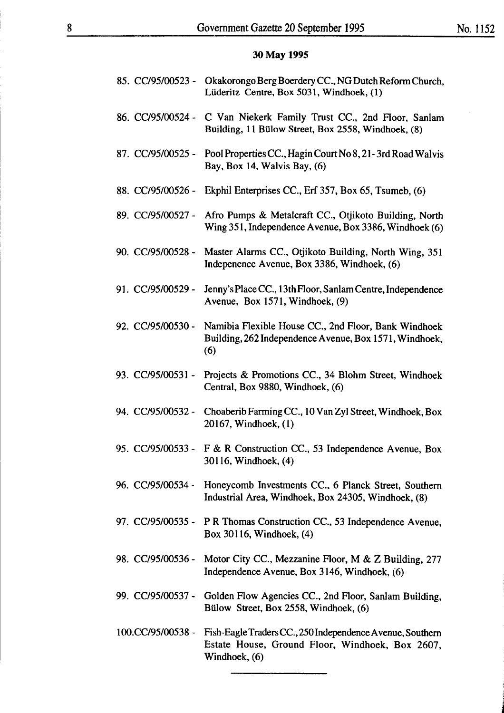little and •

### **30May 1995**

|                   | 85. CC/95/00523 - Okakorongo Berg Boerdery CC., NG Dutch Reform Church,<br>Lüderitz Centre, Box 5031, Windhoek, (1)           |
|-------------------|-------------------------------------------------------------------------------------------------------------------------------|
| 86. CC/95/00524 - | C Van Niekerk Family Trust CC., 2nd Floor, Sanlam<br>Building, 11 Bülow Street, Box 2558, Windhoek, (8)                       |
| 87. CC/95/00525 - | Pool Properties CC., Hagin Court No 8, 21-3rd Road Walvis<br>Bay, Box 14, Walvis Bay, (6)                                     |
| 88. CC/95/00526 - | Ekphil Enterprises CC., Erf 357, Box 65, Tsumeb, (6)                                                                          |
| 89. CC/95/00527 - | Afro Pumps & Metalcraft CC., Otjikoto Building, North<br>Wing 351, Independence Avenue, Box 3386, Windhoek (6)                |
| 90. CC/95/00528 - | Master Alarms CC., Otjikoto Building, North Wing, 351<br>Indepenence Avenue, Box 3386, Windhoek, (6)                          |
| 91. CC/95/00529 - | Jenny's Place CC., 13th Floor, Sanlam Centre, Independence<br>Avenue, Box 1571, Windhoek, (9)                                 |
| 92. CC/95/00530 - | Namibia Flexible House CC., 2nd Floor, Bank Windhoek<br>Building, 262 Independence Avenue, Box 1571, Windhoek,<br>(6)         |
| 93. CC/95/00531 - | Projects & Promotions CC., 34 Blohm Street, Windhoek<br>Central, Box 9880, Windhoek, (6)                                      |
| 94. CC/95/00532 - | Choaberib Farming CC., 10 Van Zyl Street, Windhoek, Box<br>20167, Windhoek, (1)                                               |
|                   | 95. CC/95/00533 - F & R Construction CC., 53 Independence Avenue, Box<br>30116, Windhoek, (4)                                 |
|                   | 96. CC/95/00534 - Honeycomb Investments CC., 6 Planck Street, Southern<br>Industrial Area, Windhoek, Box 24305, Windhoek, (8) |
|                   | 97. CC/95/00535 - P R Thomas Construction CC., 53 Independence Avenue,<br>Box 30116, Windhoek, (4)                            |
| 98. CC/95/00536 - | Motor City CC., Mezzanine Floor, M & Z Building, 277<br>Independence Avenue, Box 3146, Windhoek, (6)                          |
| 99. CC/95/00537 - | Golden Flow Agencies CC., 2nd Floor, Sanlam Building,<br>Bülow Street, Box 2558, Windhoek, (6)                                |
| 100.CC/95/00538 - | Fish-Eagle Traders CC., 250 Independence Avenue, Southern<br>Estate House, Ground Floor, Windhoek, Box 2607,<br>Windhoek, (6) |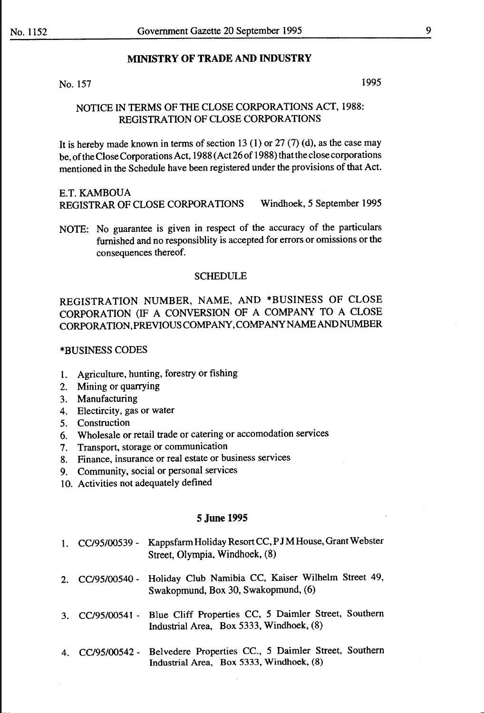#### **MINISTRY OF TRADE AND INDUSTRY**

#### No.  $157$  1995

#### NOTICE IN TERMS OF THE CLOSE CORPORATIONS ACT, 1988: REGISTRATION OF CLOSE CORPORATIONS

It is hereby made known in terms of section 13 (1) or 27 (7) (d), as the case may be, of the Close Corporations Act, 1988 (Act26 of 1988) thatthe close corporations mentioned in the Schedule have been registered under the provisions of that Act.

#### E.T. KAMBOUA

REGISTRAR OF CLOSE CORPORATIONS Windhoek, 5 September 1995

NOTE: No guarantee is given in respect of the accuracy of the particulars furnished and no responsiblity is accepted for errors or omissions or the consequences thereof.

#### SCHEDULE

REGISTRATION NUMBER, NAME, AND \*BUSINESS OF CLOSE CORPORATION (IF A CONVERSION OF A COMPANY TO A CLOSE CORPORATION,PREVIOUSCOMPANY,COMPANYNAMEANDNUMBER

#### \*BUSINESS CODES

- 1. Agriculture, hunting, forestry or fishing
- 2. Mining or quarrying
- 3. Manufacturing
- 4. Electircity, gas or water
- 5. Construction
- 6. Wholesale or retail trade or catering or accomodation services
- 7. Transport, storage or communication
- 8. Finance, insurance or real estate or business services
- 9. Community, social or personal services
- 10. Activities not adequately defined

|  | 1. CC/95/00539 - Kappsfarm Holiday Resort CC, PJM House, Grant Webster |
|--|------------------------------------------------------------------------|
|  | Street, Olympia, Windhoek, (8)                                         |

- 2. CC/95/00540- Holiday Club Namibia CC, Kaiser Wilhelm Street 49, Swakopmund, Box 30, Swakopmund, (6)
- 3. CC/95/00541 Blue Cliff Properties CC, *5* Daimler Street, Southern Industrial Area, Box 5333, Windhoek, (8)
- 4. CC/95/00542- Belvedere Properties CC., 5 Daimler Street, Southern Industrial Area, Box 5333, Windhoek, (8)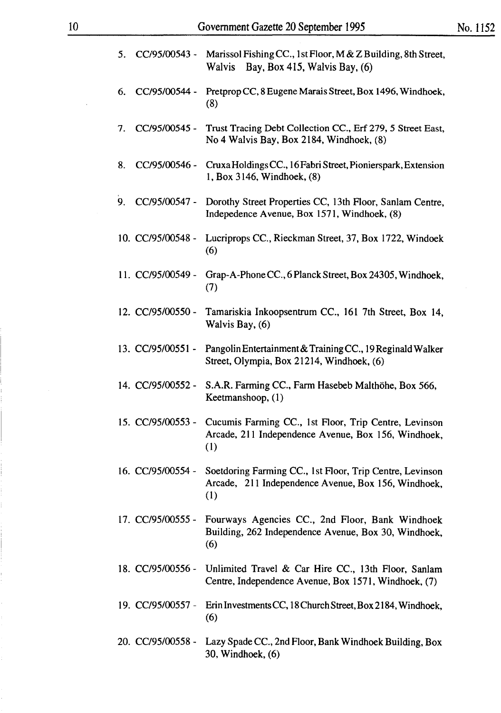| 5.                  | CC/95/00543 - Marissol Fishing CC., 1st Floor, M & Z Building, 8th Street,<br>Walvis Bay, Box 415, Walvis Bay, (6)     |
|---------------------|------------------------------------------------------------------------------------------------------------------------|
| CC/95/00544 -<br>6. | Pretprop CC, 8 Eugene Marais Street, Box 1496, Windhoek,<br>(8)                                                        |
| CC/95/00545 -<br>7. | Trust Tracing Debt Collection CC., Erf 279, 5 Street East,<br>No 4 Walvis Bay, Box 2184, Windhoek, (8)                 |
| 8.<br>CC/95/00546 - | Cruxa Holdings CC., 16 Fabri Street, Pionierspark, Extension<br>1, Box 3146, Windhoek, (8)                             |
| CC/95/00547 -<br>9. | Dorothy Street Properties CC, 13th Floor, Sanlam Centre,<br>Indepedence Avenue, Box 1571, Windhoek, (8)                |
| 10. CC/95/00548 -   | Lucriprops CC., Rieckman Street, 37, Box 1722, Windoek<br>(6)                                                          |
| 11. CC/95/00549 -   | Grap-A-Phone CC., 6 Planck Street, Box 24305, Windhoek,<br>(7)                                                         |
| 12. CC/95/00550 -   | Tamariskia Inkoopsentrum CC., 161 7th Street, Box 14,<br>Walvis Bay, (6)                                               |
| 13. CC/95/00551 -   | Pangolin Entertainment & Training CC., 19 Reginald Walker<br>Street, Olympia, Box 21214, Windhoek, (6)                 |
| 14. CC/95/00552 -   | S.A.R. Farming CC., Farm Hasebeb Malthöhe, Box 566,<br>Keetmanshoop, (1)                                               |
| 15. CC/95/00553 -   | Cucumis Farming CC., 1st Floor, Trip Centre, Levinson<br>Arcade, 211 Independence Avenue, Box 156, Windhoek,<br>(1)    |
| 16. CC/95/00554 -   | Soetdoring Farming CC., 1st Floor, Trip Centre, Levinson<br>Arcade, 211 Independence Avenue, Box 156, Windhoek,<br>(1) |
| 17. CC/95/00555 -   | Fourways Agencies CC., 2nd Floor, Bank Windhoek<br>Building, 262 Independence Avenue, Box 30, Windhoek,<br>(6)         |
| 18. CC/95/00556 -   | Unlimited Travel & Car Hire CC., 13th Floor, Sanlam<br>Centre, Independence Avenue, Box 1571, Windhoek, (7)            |
| 19. CC/95/00557 -   | Erin Investments CC, 18 Church Street, Box 2184, Windhoek,<br>(6)                                                      |
| 20. CC/95/00558 -   | Lazy Spade CC., 2nd Floor, Bank Windhoek Building, Box<br>30, Windhoek, (6)                                            |

 $\ddot{\phantom{a}}$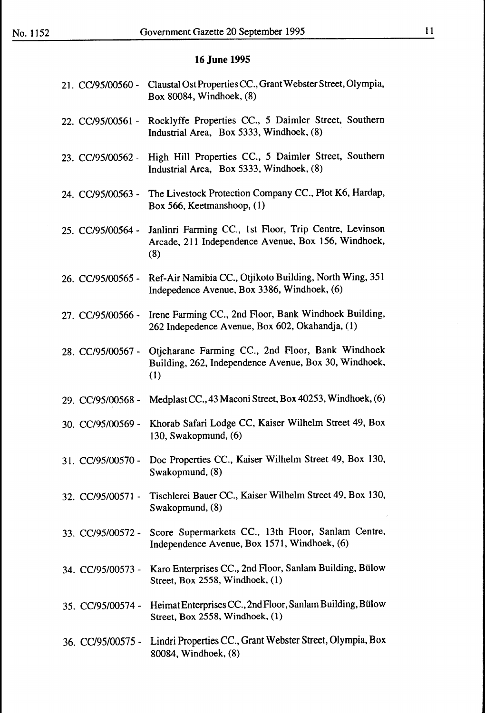### 11

| 21. CC/95/00560 - | Claustal Ost Properties CC., Grant Webster Street, Olympia,<br>Box 80084, Windhoek, (8)                              |
|-------------------|----------------------------------------------------------------------------------------------------------------------|
| 22. CC/95/00561 - | Rocklyffe Properties CC., 5 Daimler Street, Southern<br>Industrial Area, Box 5333, Windhoek, (8)                     |
| 23. CC/95/00562 - | High Hill Properties CC., 5 Daimler Street, Southern<br>Industrial Area, Box 5333, Windhoek, (8)                     |
| 24. CC/95/00563 - | The Livestock Protection Company CC., Plot K6, Hardap,<br>Box 566, Keetmanshoop, (1)                                 |
| 25. CC/95/00564 - | Janlinri Farming CC., 1st Floor, Trip Centre, Levinson<br>Arcade, 211 Independence Avenue, Box 156, Windhoek,<br>(8) |
| 26. CC/95/00565 - | Ref-Air Namibia CC., Otjikoto Building, North Wing, 351<br>Indepedence Avenue, Box 3386, Windhoek, (6)               |
| 27. CC/95/00566 - | Irene Farming CC., 2nd Floor, Bank Windhoek Building,<br>262 Indepedence Avenue, Box 602, Okahandja, (1)             |
| 28. CC/95/00567 - | Otjeharane Farming CC., 2nd Floor, Bank Windhoek<br>Building, 262, Independence Avenue, Box 30, Windhoek,<br>(1)     |
| 29. CC/95/00568 - | Medplast CC., 43 Maconi Street, Box 40253, Windhoek, (6)                                                             |
| 30. CC/95/00569 - | Khorab Safari Lodge CC, Kaiser Wilhelm Street 49, Box<br>130, Swakopmund, (6)                                        |
| 31. CC/95/00570 - | Doc Properties CC., Kaiser Wilhelm Street 49, Box 130,<br>Swakopmund, (8)                                            |
| 32. CC/95/00571 - | Tischlerei Bauer CC., Kaiser Wilhelm Street 49, Box 130,<br>Swakopmund, (8)                                          |
|                   | 33. CC/95/00572 - Score Supermarkets CC., 13th Floor, Sanlam Centre,<br>Independence Avenue, Box 1571, Windhoek, (6) |
| 34. CC/95/00573 - | Karo Enterprises CC., 2nd Floor, Sanlam Building, Bülow<br>Street, Box 2558, Windhoek, (1)                           |
| 35. CC/95/00574 - | Heimat Enterprises CC., 2nd Floor, Sanlam Building, Bülow<br>Street, Box 2558, Windhoek, (1)                         |
| 36. CC/95/00575 - | Lindri Properties CC., Grant Webster Street, Olympia, Box<br>80084, Windhoek, (8)                                    |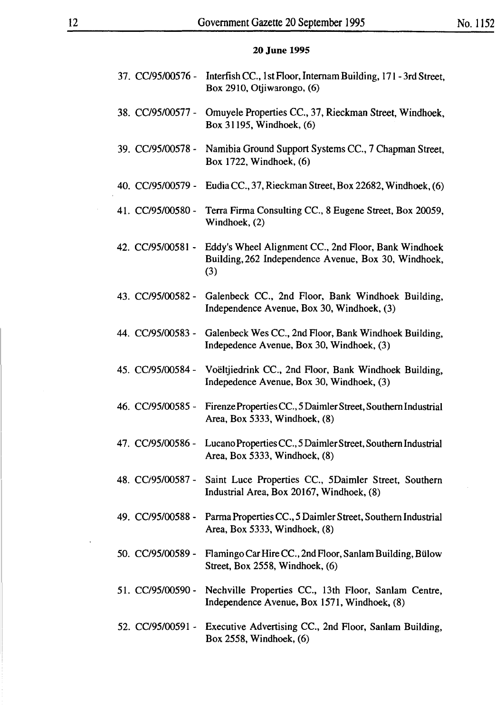|                   | 37. CC/95/00576 - Interfish CC., 1st Floor, Internam Building, 171 - 3rd Street,<br>Box 2910, Otjiwarongo, (6)         |
|-------------------|------------------------------------------------------------------------------------------------------------------------|
| 38. CC/95/00577 - | Omuyele Properties CC., 37, Rieckman Street, Windhoek,<br>Box 31195, Windhoek, (6)                                     |
| 39. CC/95/00578 - | Namibia Ground Support Systems CC., 7 Chapman Street,<br>Box 1722, Windhoek, (6)                                       |
| 40. CC/95/00579 - | Eudia CC., 37, Rieckman Street, Box 22682, Windhoek, (6)                                                               |
| 41. CC/95/00580 - | Terra Firma Consulting CC., 8 Eugene Street, Box 20059,<br>Windhoek, (2)                                               |
| 42. CC/95/00581 - | Eddy's Wheel Alignment CC., 2nd Floor, Bank Windhoek<br>Building, 262 Independence Avenue, Box 30, Windhoek,<br>(3)    |
| 43. CC/95/00582 - | Galenbeck CC., 2nd Floor, Bank Windhoek Building,<br>Independence Avenue, Box 30, Windhoek, (3)                        |
| 44. CC/95/00583 - | Galenbeck Wes CC., 2nd Floor, Bank Windhoek Building,<br>Indepedence Avenue, Box 30, Windhoek, (3)                     |
| 45. CC/95/00584 - | Voëltjiedrink CC., 2nd Floor, Bank Windhoek Building,<br>Indepedence Avenue, Box 30, Windhoek, (3)                     |
| 46. CC/95/00585 - | Firenze Properties CC., 5 Daimler Street, Southern Industrial<br>Area, Box 5333, Windhoek, (8)                         |
| 47. CC/95/00586 - | Lucano Properties CC., 5 Daimler Street, Southern Industrial<br>Area, Box 5333, Windhoek, (8)                          |
|                   | 48. CC/95/00587 - Saint Luce Properties CC., 5Daimler Street, Southern<br>Industrial Area, Box 20167, Windhoek, (8)    |
|                   | 49. CC/95/00588 - Parma Properties CC., 5 Daimler Street, Southern Industrial<br>Area, Box 5333, Windhoek, (8)         |
| 50. CC/95/00589 - | Flamingo Car Hire CC., 2nd Floor, Sanlam Building, Bülow<br>Street, Box 2558, Windhoek, (6)                            |
|                   | 51. CC/95/00590 - Nechville Properties CC., 13th Floor, Sanlam Centre,<br>Independence Avenue, Box 1571, Windhoek, (8) |
|                   | 52. CC/95/00591 - Executive Advertising CC., 2nd Floor, Sanlam Building,<br>Box 2558, Windhoek, (6)                    |

 $\mathcal{L}$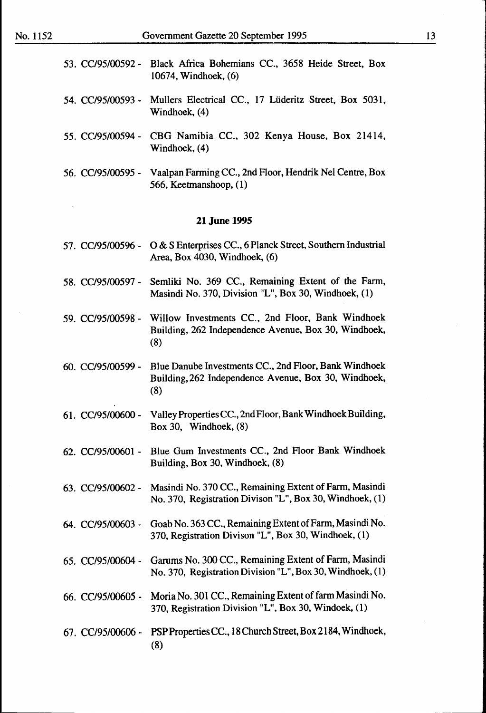- 53. CC/95/00592- Black Africa Bohemians CC., 3658 Heide Street, Box 10674, Windhoek, (6)
- 54. CC/95/00593 Muliers Electrical CC., 17 Liideritz Street, Box 5031, Windhoek, (4)
- 55. CC/95/00594- CBG Namibia CC., 302 Kenya House, Box 21414, Windhoek, (4)
- 56. *CC/95100595-* Vaalpan Farming CC., 2nd Floor, Hendrik Nel Centre, Box 566, Keetmanshoop, ( 1)

- 57. CC/95/00596 0 & S Enterprises CC., 6 Planck Street, Southern Industrial Area, Box 4030, Windhoek,  $(6)$
- 58. CC/95/00597 Semliki No. 369 CC., Remaining Extent of the Farm, Masindi No. 370, Division "L", Box 30, Windhoek, (1)
- 59. CC/95/00598 Willow Investments CC., 2nd Floor, Bank Windhoek Building, 262 Independence Avenue, Box 30, Windhoek, (8)
- 60. CC/95/00599 Blue Danube Investments CC., 2nd Floor, Bank Windhoek Building, 262 Independence Avenue, Box 30, Windhoek, (8)
- 61. CC/95/00600 Valley Properties CC., 2nd Floor, Bank Windhoek Building, Box 30, Windhoek,  $(8)$
- 62. CC/95/00601 Blue Gum Investments CC., 2nd Floor Bank Windhoek Building, Box 30, Windhoek, (8)
- 63. CC/95/00602- Masindi No. 370 CC., Remaining Extent of Farm, Masindi No. 370, Registration Divison "L", Box 30, Windhoek, (1)
- 64. CC/95/00603 Goab No. 363 CC., Remaining Extent of Farm, Masindi No. 370, Registration Divison "L", Box 30, Windhoek, (1)
- 65. CC/95/00604 Garums No. 300 CC., Remaining Extent of Farm, Masindi No. 370, Registration Division "L", Box 30, Windhoek, (1)
- 66. CC/95/00605 Moria No. 301 CC., Remaining Extent of farm Masindi No. 370, Registration Division "L", Box 30, Windoek, (1)
- 67. CC/95/00606 PSP Properties CC., 18 Church Street, Box 2184, Windhoek, (8)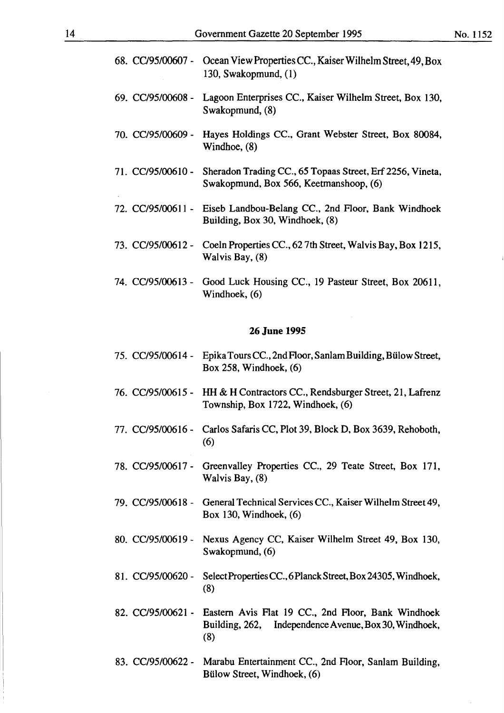|                   | 68. CC/95/00607 - Ocean View Properties CC., Kaiser Wilhelm Street, 49, Box<br>130, Swakopmund, (1)     |
|-------------------|---------------------------------------------------------------------------------------------------------|
|                   | 69. CC/95/00608 - Lagoon Enterprises CC., Kaiser Wilhelm Street, Box 130,<br>Swakopmund, (8)            |
| 70. CC/95/00609 - | Hayes Holdings CC., Grant Webster Street, Box 80084,<br>Windhoe, (8)                                    |
| 71. CC/95/00610 - | Sheradon Trading CC., 65 Topaas Street, Erf 2256, Vineta,<br>Swakopmund, Box 566, Keetmanshoop, (6)     |
|                   | 72. CC/95/00611 - Eiseb Landbou-Belang CC., 2nd Floor, Bank Windhoek<br>Building, Box 30, Windhoek, (8) |
|                   | 73. CC/95/00612 - Coeln Properties CC., 627th Street, Walvis Bay, Box 1215,<br>Walvis Bay, (8)          |
| 74. CC/95/00613 - | Good Luck Housing CC., 19 Pasteur Street, Box 20611,<br>Windhoek, (6)                                   |

- 75. CC/95/00614 Epika Tours CC., 2nd Floor, Sanlam Building, Bülow Street, Box 258, Windhoek, (6)
- 76. CC/95/00615- **HH & H** Contractors CC., Rendsburger Street, 21, Lafrenz Township, Box 1722, Windhoek, (6)
- 77. CC/95/00616- Carlos Safaris CC, Plot 39, Block D, Box 3639, Rehoboth, (6)
- 78. CC/95/00617- Greenvalley Properties CC., 29 Teate Street, Box 171, Walvis Bay, (8)
- 79. CC/95/00618 General Technical Services CC., Kaiser Wilhelm Street 49, Box 130, Windhoek, {6)
- 80. CC/95/00619- Nexus Agency CC, Kaiser Wilhelm Street 49, Box 130, Swakopmund, (6)
- 81. CC/95/00620 SelectProperties CC., 6Planck Street, Box 24305, Windhoek, (8)
- 82. CC/95/00621- Eastern Avis Flat 19 CC., 2nd Floor, Bank Windhoek Building, 262, Independence A venue, Box 30, Windhoek, (8)
- 83. CC/95/00622 Marabu Entertainment CC., 2nd Floor, Sanlam Building, Biilow Street, Windhoek, (6)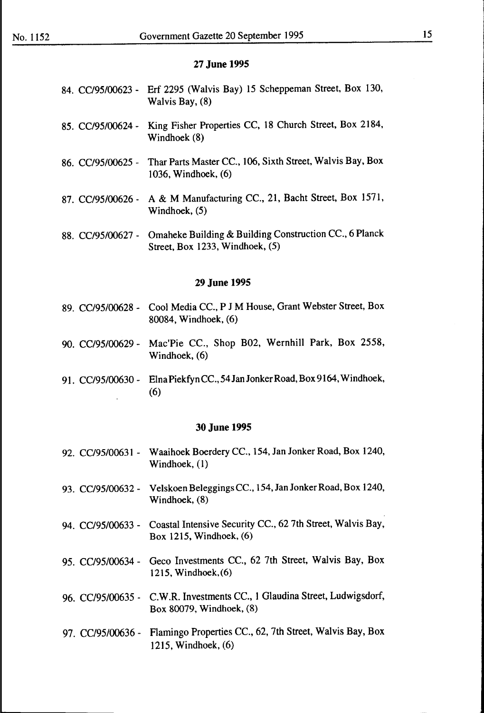- 84. CC/95/00623- Erf 2295 (Walvis Bay) 15 Scheppeman Street, Box 130, Walvis Bay, (8)
- 85. CC/95/00624- King Fisher Properties CC, 18 Church Street, Box 2184, Windhoek (8)
- 86. CC/95/00625 Thar Parts Master CC., 106, Sixth Street, Walvis Bay, Box 1036, Windhoek, (6)
- 87. CC/95/00626- A & M Manufacturing CC., 21, Bacht Street, Box 1571, Windhoek, (5)
- 88. CC/95/00627 Omaheke Building & Building Construction CC., 6 Planck Street, Box 1233, Windhoek, (5)

#### **29 June 1995**

- 89. CC/95/00628- Cool Media CC., **P J** M House, Grant Webster Street, Box 80084, Windhoek, (6)
- 90. CC/95/00629- Mac'Pie CC., Shop B02, Wernhill Park, Box 2558, Windhoek, (6)
- 91. CC/95/00630 ElnaPiekfyn CC., 54 Jan Jonker Road, Box 9164, Windhoek, (6)

- 92. CC/95/00631 Waaihoek Boerdery CC., 154, Jan Jonker Road, Box 1240, Windhoek, (1)
- 93. CC/95/00632 Velskoen Beleggings CC., 154, Jan Jonker Road, Box 1240, Windhoek, (8)
- 94. CC/95/00633 Coastal Intensive Security CC., 62 7th Street, Walvis Bay, Box 1215, Windhoek, (6)
- 95. CC/95/00634- Geco Investments CC., 62 7th Street, Walvis Bay, Box 1215, Windhoek,(6)
- 96. CC/95/00635- C.W.R. Investments CC., 1 Glaudina Street, Ludwigsdorf, Box 80079, Windhoek, (8)
- 97. CC/95/00636- Flamingo Properties CC., 62, 7th Street, Walvis Bay, Box 1215, Windhoek,(6)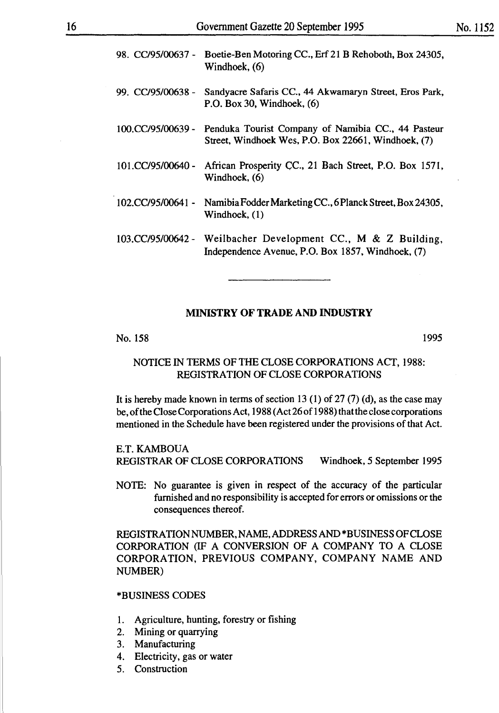| 98. CC/95/00637 - | Boetie-Ben Motoring CC., Erf 21 B Rehoboth, Box 24305,<br>Windhoek, (6)                                   |
|-------------------|-----------------------------------------------------------------------------------------------------------|
| 99. CC/95/00638 - | Sandyacre Safaris CC., 44 Akwamaryn Street, Eros Park,<br>P.O. Box 30, Windhoek, $(6)$                    |
| 100.CC/95/00639 - | Penduka Tourist Company of Namibia CC., 44 Pasteur<br>Street, Windhoek Wes, P.O. Box 22661, Windhoek, (7) |
| 101.CC/95/00640 - | African Prosperity CC., 21 Bach Street, P.O. Box 1571,<br>Windhoek, (6)                                   |
| 102.CC/95/00641 - | Namibia Fodder Marketing CC., 6 Planck Street, Box 24305,<br>Windhoek, (1)                                |
| 103.CC/95/00642 - | Weilbacher Development CC., M & Z Building,<br>Independence Avenue, P.O. Box 1857, Windhoek, (7)          |

#### **MINISTRY OF TRADE AND INDUSTRY**

No. 158 1995

#### NOTICE IN TERMS OF THE CLOSE CORPORATIONS ACT, 1988: REGISTRATION OF CLOSE CORPORATIONS

It is hereby made known in terms of section 13 (1) of 27 (7) (d), as the case may be, of the Close Corporations Act, 1988 (Act 26 of 1988) that the close corporations mentioned in the Schedule have been registered under the provisions of that Act.

#### E.T. KAMBOUA

REGISTRAR OF CLOSE CORPORATIONS Windhoek, 5 September 1995

NOTE: No guarantee is given in respect of the accuracy of the particular furnished and no responsibility is accepted for errors or omissions or the consequences thereof.

REGISTRATION NUMBER, NAME, ADDRESS AND \*BUSINESS OF CLOSE CORPORATION (IF A CONVERSION OF A COMPANY TO A CLOSE CORPORATION, PREVIOUS COMPANY, COMPANY NAME AND NUMBER)

#### \*BUSINESS CODES

- 1. Agriculture, hunting, forestry or fishing
- 2. Mining or quarrying
- 3. Manufacturing
- 4. Electricity, gas or water
- 5. Construction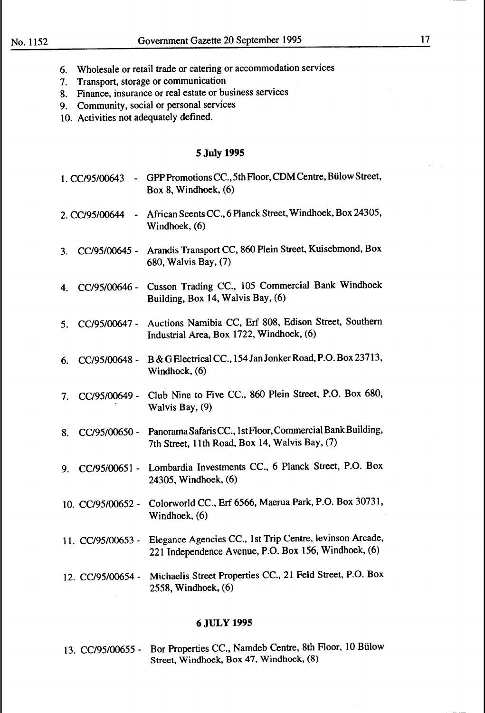- 6. Wholesale or retail trade or catering or accommodation services
- 7. Transport, storage or communication
- 8. Finance, insurance or real estate or business services
- 9. Community, social or personal services
- 10. Activities not adequately defined.

#### **5 July 1995**

- 1. CC/95/00643 GPP Promotions CC., 5th Floor, CDM Centre, Bülow Street, Box 8, Windhoek, (6)
- 2. CC/95/00644 African Scents CC., 6 Planck Street, Windhoek, Box 24305, Windhoek, (6)
- 3. CC/95/00645- Arandis Transport CC, 860 Plein Street, Kuisebmond, Box 680, Walvis Bay, (7)
- 4. CC/95/00646 Cusson Trading CC., 105 Commercial Bank Windhoek Building, Box 14, Walvis Bay, (6)
- 5. CC/95/00647- Auctions Namibia CC, Erf 808, Edison Street, Southern Industrial Area, Box 1722, Windhoek, (6)
- 6. CC/95/00648- B&GElectricalCC., 154JanJonkerRoad,P.O.Box23713, Windhoek, (6)
- 7. CC/95/00649- Club Nine to Five CC., 860 Plein Street, P.O. Box 680, Walvis Bay, (9)
- 8. CC/95/00650 Panorama Safaris CC., 1st Floor, Commercial Bank Building, 7th Street, 11th Road, Box 14, Walvis Bay, (7)
- 9. CC/95i00651 Lombardia Investments CC., 6 Planck Street, P.O. Box 24305, Windhoek, (6)
- 10. CC/95/00652 Colorworld CC., Erf 6566, Maerua Park, P.O. Box 30731, Windhoek, (6)
- 11. CC/95/00653 Elegance Agencies CC., 1st Trip Centre, Ievinson Arcade, 221 Independence Avenue, P.O. Box 156, Windhoek, (6)
- 12. CC/95/00654- Michaelis Street Properties CC., 21 Feld Street, P.O. Box 2558, Windhoek, (6)

#### **6JULY 1995**

13. CC/95/00655 - Bor Properties CC., Namdeb Centre, 8th Floor, 10 Bülow Street, Windhoek, Box 47, Windhoek, (8)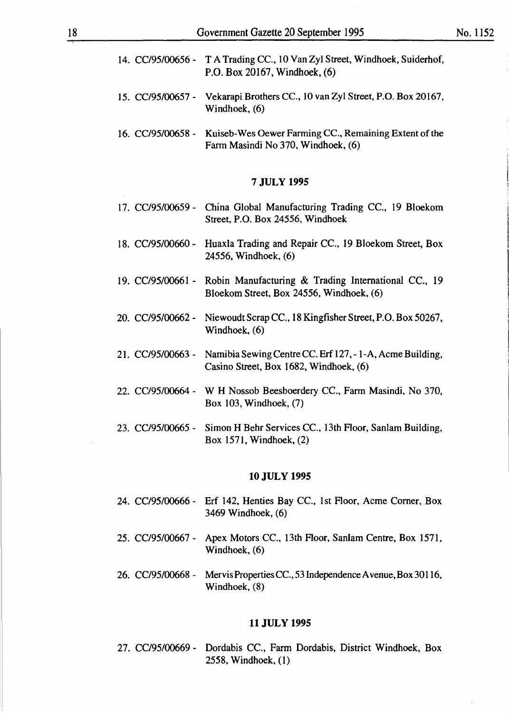- 14. CC/95/00656 T A Trading CC., 10 Van Zy1 Street, Windhoek, Suiderhof, P.O. Box 20167, Windhoek, (6)
- 15. CC/95/00657- Vekarapi Brothers CC., 10 van Zyl Street, P.O. Box 20167, Windhoek, (6)
- 16. CC/95/00658 Kuiseb-Wes Oewer Farming CC., Remaining Extent of the Farm Masindi No 370, Windhoek, (6)

- 17. CC/95/00659 China Global Manufacturing Trading CC., 19 Bloekom Street, P.O. Box 24556, Windhoek
- 18. CC/95/00660 Huaxla Trading and Repair CC., 19 Bloekom Street, Box 24556, Windhoek, (6)
- 19. CC/95/00661- Robin Manufacturing & Trading International CC., 19 Bloekom Street, Box 24556, Windhoek, (6)
- 20. CC/95/00662 Niewoudt Scrap CC., 18 Kingfisher Street, P.O. Box 50267, Windhoek, (6)
- 21. CC/95/00663 Namibia Sewing Centre CC. Erf 127,- 1-A, Acme Building, Casino Street, Box 1682, Windhoek, (6)
- 22. CC/95/00664 W H Nossob Beesboerdery CC., Farm Masindi, No 370, Box 103, Windhoek, (7)
- 23. CC/95/00665 Simon H Behr Services CC., 13th Floor, Sanlam Building, Box 1571, Windhoek, (2)

#### **10JULY 1995**

- 24. CC/95/00666- Erf 142, Henties Bay CC., 1st Floor, Acme Comer, Box 3469 Windhoek, (6)
- 25. CC/95/00667- Apex Motors CC., 13th Floor, Sanlam Centre, Box 1571, Windhoek, (6)
- 26. CC/95/00668- MervisPropertiesCC.,53IndependenceAvenue,Box30116, Windhoek, (8)

#### **11 JULY 1995**

27. CC/95/00669 - Dordabis CC., Farm Dordabis, District Windhoek, Box 2558, Windhoek, (1)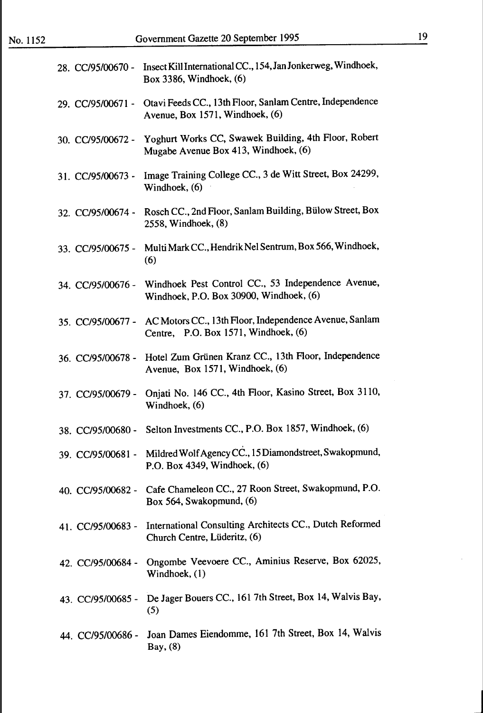| 28. CC/95/00670 - | Insect Kill International CC., 154, Jan Jonkerweg, Windhoek,<br>Box 3386, Windhoek, (6)                  |
|-------------------|----------------------------------------------------------------------------------------------------------|
| 29. CC/95/00671 - | Otavi Feeds CC., 13th Floor, Sanlam Centre, Independence<br>Avenue, Box 1571, Windhoek, (6)              |
| 30. CC/95/00672 - | Yoghurt Works CC, Swawek Building, 4th Floor, Robert<br>Mugabe Avenue Box 413, Windhoek, (6)             |
| 31. CC/95/00673 - | Image Training College CC., 3 de Witt Street, Box 24299,<br>Windhoek, (6)                                |
| 32. CC/95/00674 - | Rosch CC., 2nd Floor, Sanlam Building, Bülow Street, Box<br>2558, Windhoek, (8)                          |
| 33. CC/95/00675 - | Multi Mark CC., Hendrik Nel Sentrum, Box 566, Windhoek,<br>(6)                                           |
| 34. CC/95/00676 - | Windhoek Pest Control CC., 53 Independence Avenue,<br>Windhoek, P.O. Box 30900, Windhoek, (6)            |
| 35. CC/95/00677 - | AC Motors CC., 13th Floor, Independence Avenue, Sanlam<br>Centre, P.O. Box 1571, Windhoek, (6)           |
| 36. CC/95/00678 - | Hotel Zum Grünen Kranz CC., 13th Floor, Independence<br>Avenue, Box 1571, Windhoek, (6)                  |
| 37. CC/95/00679 - | Onjati No. 146 CC., 4th Floor, Kasino Street, Box 3110,<br>Windhoek, (6)                                 |
| 38. CC/95/00680 - | Selton Investments CC., P.O. Box 1857, Windhoek, (6)                                                     |
|                   | 39. CC/95/00681 - Mildred Wolf Agency CC., 15 Diamondstreet, Swakopmund,<br>P.O. Box 4349, Windhoek, (6) |
|                   | 40. CC/95/00682 - Cafe Chameleon CC., 27 Roon Street, Swakopmund, P.O.<br>Box 564, Swakopmund, (6)       |
| 41. CC/95/00683 - | International Consulting Architects CC., Dutch Reformed<br>Church Centre, Lüderitz, (6)                  |
| 42. CC/95/00684 - | Ongombe Veevoere CC., Aminius Reserve, Box 62025,<br>Windhoek, (1)                                       |
| 43. CC/95/00685 - | De Jager Bouers CC., 161 7th Street, Box 14, Walvis Bay,<br>(5)                                          |
| 44. CC/95/00686 - | Joan Dames Eiendomme, 161 7th Street, Box 14, Walvis<br>Bay, (8)                                         |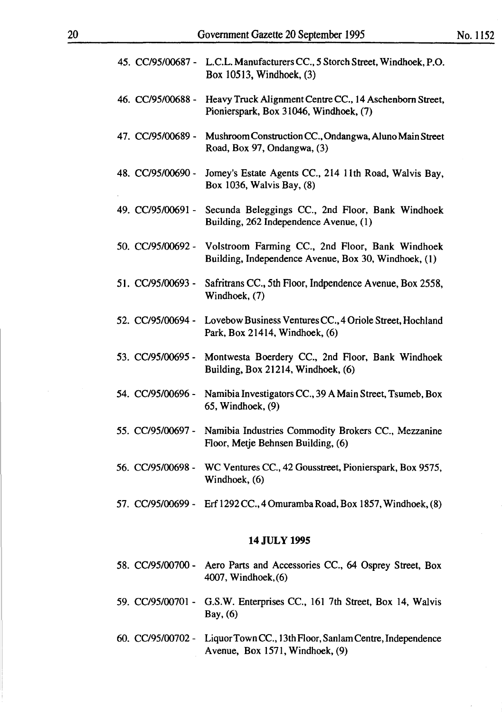| 14 JULY 1995 |                   |                                                                                                         |  |  |  |
|--------------|-------------------|---------------------------------------------------------------------------------------------------------|--|--|--|
|              |                   | 57. CC/95/00699 - Erf 1292 CC., 4 Omuramba Road, Box 1857, Windhoek, (8)                                |  |  |  |
|              |                   | 56. CC/95/00698 - WC Ventures CC., 42 Gousstreet, Pionierspark, Box 9575,<br>Windhoek, (6)              |  |  |  |
|              | 55. CC/95/00697 - | Namibia Industries Commodity Brokers CC., Mezzanine<br>Floor, Metje Behnsen Building, (6)               |  |  |  |
|              | 54. CC/95/00696 - | Namibia Investigators CC., 39 A Main Street, Tsumeb, Box<br>65, Windhoek, (9)                           |  |  |  |
|              | 53. CC/95/00695 - | Montwesta Boerdery CC., 2nd Floor, Bank Windhoek<br>Building, Box 21214, Windhoek, (6)                  |  |  |  |
|              | 52. CC/95/00694 - | Lovebow Business Ventures CC., 4 Oriole Street, Hochland<br>Park, Box 21414, Windhoek, (6)              |  |  |  |
|              | 51. CC/95/00693 - | Safritrans CC., 5th Floor, Indpendence Avenue, Box 2558,<br>Windhoek, (7)                               |  |  |  |
|              | 50. CC/95/00692 - | Volstroom Farming CC., 2nd Floor, Bank Windhoek<br>Building, Independence Avenue, Box 30, Windhoek, (1) |  |  |  |
|              | 49. CC/95/00691 - | Secunda Beleggings CC., 2nd Floor, Bank Windhoek<br>Building, 262 Independence Avenue, (1)              |  |  |  |
|              | 48. CC/95/00690 - | Jomey's Estate Agents CC., 214 11th Road, Walvis Bay,<br>Box 1036, Walvis Bay, (8)                      |  |  |  |
|              | 47. CC/95/00689 - | Mushroom Construction CC., Ondangwa, Aluno Main Street<br>Road, Box 97, Ondangwa, (3)                   |  |  |  |
|              | 46. CC/95/00688 - | Heavy Truck Alignment Centre CC., 14 Aschenborn Street,<br>Pionierspark, Box 31046, Windhoek, (7)       |  |  |  |
|              |                   | 45. CC/95/00687 - L.C.L. Manufacturers CC., 5 Storch Street, Windhoek, P.O.<br>Box 10513, Windhoek, (3) |  |  |  |
|              |                   |                                                                                                         |  |  |  |

- 58. CC/95/00700 Aero Parts and Accessories CC., 64 Osprey Street, Box 4007, Windhoek,(6)
- 59. CC/95/00701 G.S.W. Enterprises CC., 161 7th Street, Box 14, Walvis Bay, (6)
- 60. CC/95/00702 Liquor Town CC., J 3th Floor, Sanlam Centre, Independence Avenue, Box 1571, Windhoek, (9)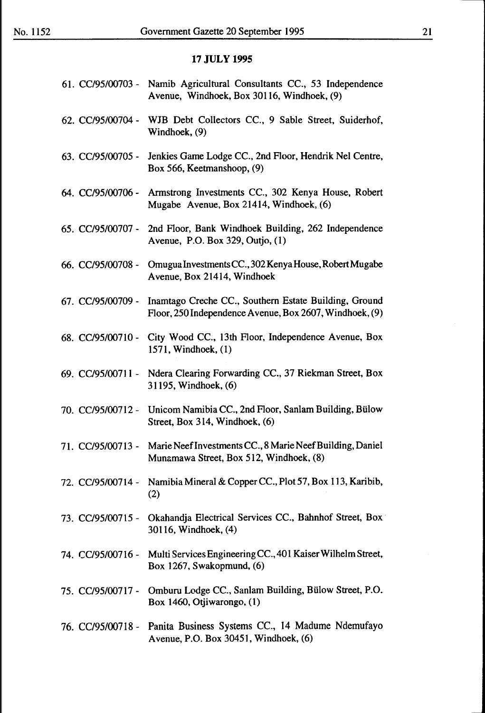|                   | 61. CC/95/00703 - Namib Agricultural Consultants CC., 53 Independence<br>Avenue, Windhoek, Box 30116, Windhoek, (9) |
|-------------------|---------------------------------------------------------------------------------------------------------------------|
| 62. CC/95/00704 - | WJB Debt Collectors CC., 9 Sable Street, Suiderhof,<br>Windhoek, (9)                                                |
| 63. CC/95/00705 - | Jenkies Game Lodge CC., 2nd Floor, Hendrik Nel Centre,<br>Box 566, Keetmanshoop, (9)                                |
| 64. CC/95/00706 - | Armstrong Investments CC., 302 Kenya House, Robert<br>Mugabe Avenue, Box 21414, Windhoek, (6)                       |
| 65. CC/95/00707 - | 2nd Floor, Bank Windhoek Building, 262 Independence<br>Avenue, P.O. Box 329, Outjo, (1)                             |
| 66. CC/95/00708 - | Omugua Investments CC., 302 Kenya House, Robert Mugabe<br>Avenue, Box 21414, Windhoek                               |
| 67. CC/95/00709 - | Inamtago Creche CC., Southern Estate Building, Ground<br>Floor, 250 Independence Avenue, Box 2607, Windhoek, (9)    |
| 68. CC/95/00710 - | City Wood CC., 13th Floor, Independence Avenue, Box<br>1571, Windhoek, (1)                                          |
| 69. CC/95/00711 - | Ndera Clearing Forwarding CC., 37 Riekman Street, Box<br>31195, Windhoek, (6)                                       |
| 70. CC/95/00712 - | Unicom Namibia CC., 2nd Floor, Sanlam Building, Bülow<br>Street, Box 314, Windhoek, (6)                             |
| 71. CC/95/00713 - | Marie Neef Investments CC., 8 Marie Neef Building, Daniel<br>Munamawa Street, Box 512, Windhoek, (8)                |
|                   | 72. CC/95/00714 - Namibia Mineral & Copper CC., Plot 57, Box 113, Karibib,<br>(2)                                   |
| 73. CC/95/00715 - | Okahandja Electrical Services CC., Bahnhof Street, Box<br>30116, Windhoek, (4)                                      |
| 74. CC/95/00716 - | Multi Services Engineering CC., 401 Kaiser Wilhelm Street,<br>Box 1267, Swakopmund, (6)                             |
| 75. CC/95/00717 - | Omburu Lodge CC., Sanlam Building, Bülow Street, P.O.<br>Box 1460, Otjiwarongo, (1)                                 |
| 76. CC/95/00718 - | Panita Business Systems CC., 14 Madume Ndemufayo<br>Avenue, P.O. Box 30451, Windhoek, (6)                           |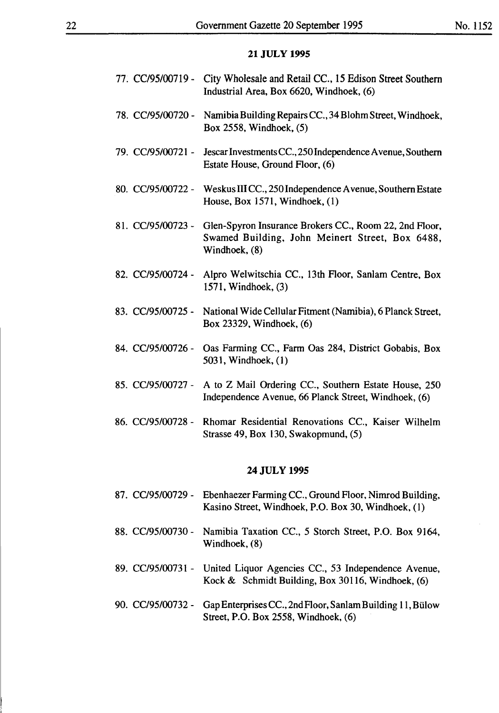| 77. CC/95/00719 - | City Wholesale and Retail CC., 15 Edison Street Southern<br>Industrial Area, Box 6620, Windhoek, (6)                           |
|-------------------|--------------------------------------------------------------------------------------------------------------------------------|
| 78. CC/95/00720 - | Namibia Building Repairs CC., 34 Blohm Street, Windhoek,<br>Box 2558, Windhoek, (5)                                            |
| 79. CC/95/00721 - | Jescar Investments CC., 250 Independence Avenue, Southern<br>Estate House, Ground Floor, (6)                                   |
| 80. CC/95/00722 - | Weskus III CC., 250 Independence Avenue, Southern Estate<br>House, Box 1571, Windhoek, (1)                                     |
| 81. CC/95/00723 - | Glen-Spyron Insurance Brokers CC., Room 22, 2nd Floor,<br>Swamed Building, John Meinert Street, Box 6488,<br>Windhoek, (8)     |
| 82. CC/95/00724 - | Alpro Welwitschia CC., 13th Floor, Sanlam Centre, Box<br>1571, Windhoek, (3)                                                   |
| 83. CC/95/00725 - | National Wide Cellular Fitment (Namibia), 6 Planck Street,<br>Box 23329, Windhoek, (6)                                         |
| 84. CC/95/00726 - | Oas Farming CC., Farm Oas 284, District Gobabis, Box<br>5031, Windhoek, (1)                                                    |
|                   | 85. CC/95/00727 - A to Z Mail Ordering CC., Southern Estate House, 250<br>Independence Avenue, 66 Planck Street, Windhoek, (6) |
| 86. CC/95/00728 - | Rhomar Residential Renovations CC., Kaiser Wilhelm                                                                             |

Strasse 49, Box 130, Swakopmund, (5)

87. CC/95/00729 - Ebenhaezer Farming CC., Ground Floor, Nimrod Building, Kasino Street, Windhoek, P.O. Box 30, Windhoek, (I)

- 88. CC/95/00730 Namibia Taxation CC., 5 Storch Street, P.O. Box 9164, Windhoek, (8)
- 89. CC/95/00731 United Liquor Agencies CC., 53 Independence Avenue, Kock & Schmidt Building, Box 30116, Windhoek, (6)
- 90. CC/95/00732 Gap Enterprises CC., 2nd Floor, Sanlam Building 11, Bülow Street, P.O. Box 2558, Windhoek, (6)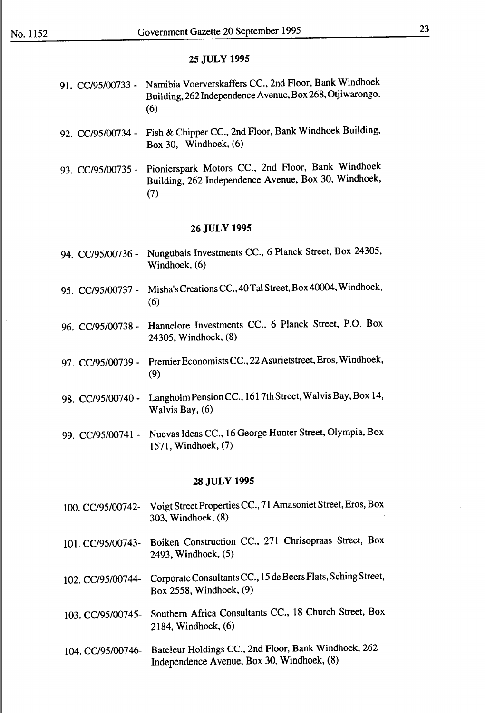#### 23

#### **25 JULY 1995**

- 91. CC/95/00733- Namibia Voerverskaffers CC., 2nd Floor, Bank Windhoek Building, 262 Independence A venue, Box 268, Otjiwarongo, (6)
- 92. CC/95/00734 Fish & Chipper CC., 2nd Floor, Bank Windhoek Building, Box 30, Windhoek, (6)
- 93. CC/95/00735- Pionierspark Motors CC., 2nd Floor, Bank Windhoek Building, 262 Independence Avenue, Box 30, Windhoek, (7)

#### **26JULY 1995**

- 94. CC/95/00736- Nungubais Investments CC., 6 Planck Street, Box 24305, Windhoek, (6)
- 95. CC/95/00737 Misha's Creations CC., 40 Tal Street, Box 40004, Windhoek, (6)
- 96. CC/95/00738- Hannelore Investments CC., 6 Planck Street, P.O. Box 24305, Windhoek, (8)
- 97. CC/95/00739 Premier Economists CC., 22 Asurietstreet, Eros, Windhoek, (9)
- 98. CC/95/00740 Langholm Pension CC., 161 7th Street, Walvis Bay, Box 14, Walvis Bay, (6)
- 99. CC/95/00741 Nuevas Ideas CC., 16 George Hunter Street, Olympia, Box 1571, Windhoek, (7)

- 100. CC/95/00742- Voigt Street Properties CC., 71 Amasoniet Street, Eros, Box 303, Windhoek, (8)
- 101. CC/95/00743- Boiken Construction CC., 271 Chrisopraas Street, Box 2493, Windhoek, (5)
- 102. CC/95/00744- Corporate Consultants CC., 15 de Beers Flats, Sching Street, Box 2558, Windhoek, (9)
- 103. CC/95/00745- Southern Africa Consultants CC., 18 Church Street, Box 2184, Windhoek, (6)
- 104. CC/95/00746- Bateleur Holdings CC., 2nd Floor, Bank Windhoek, 262 Independence A venue, Box 30, Windhoek, (8)